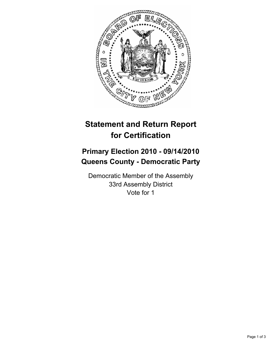

# **Statement and Return Report for Certification**

## **Primary Election 2010 - 09/14/2010 Queens County - Democratic Party**

Democratic Member of the Assembly 33rd Assembly District Vote for 1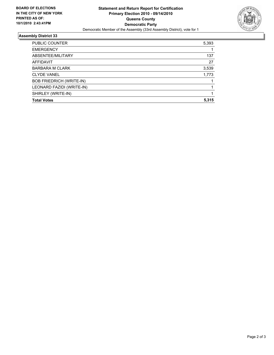

### **Assembly District 33**

| PUBLIC COUNTER                  | 5,393 |
|---------------------------------|-------|
| <b>EMERGENCY</b>                |       |
| ABSENTEE/MILITARY               | 137   |
| AFFIDAVIT                       | 27    |
| <b>BARBARA M CLARK</b>          | 3,539 |
| <b>CLYDE VANEL</b>              | 1,773 |
| <b>BOB FRIEDRICH (WRITE-IN)</b> |       |
| LEONARD FAZIDI (WRITE-IN)       |       |
| SHIRLEY (WRITE-IN)              |       |
| <b>Total Votes</b>              | 5.315 |